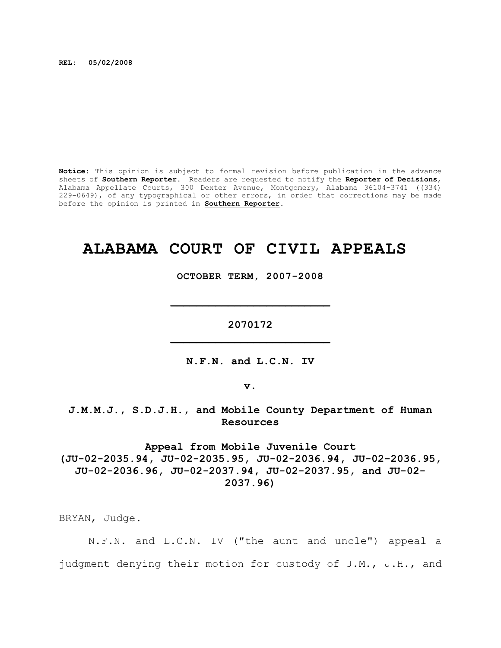**REL: 05/02/2008**

**Notice:** This opinion is subject to formal revision before publication in the advance sheets of **Southern Reporter**. Readers are requested to notify the **Reporter of Decisions**, Alabama Appellate Courts, 300 Dexter Avenue, Montgomery, Alabama 36104-3741 ((334) 229-0649), of any typographical or other errors, in order that corrections may be made before the opinion is printed in **Southern Reporter**.

# **ALABAMA COURT OF CIVIL APPEALS**

**OCTOBER TERM, 2007-2008**

**\_\_\_\_\_\_\_\_\_\_\_\_\_\_\_\_\_\_\_\_\_\_\_\_\_**

**2070172 \_\_\_\_\_\_\_\_\_\_\_\_\_\_\_\_\_\_\_\_\_\_\_\_\_**

**N.F.N. and L.C.N. IV**

**v.**

**J.M.M.J., S.D.J.H., and Mobile County Department of Human Resources**

**Appeal from Mobile Juvenile Court (JU-02-2035.94, JU-02-2035.95, JU-02-2036.94, JU-02-2036.95, JU-02-2036.96, JU-02-2037.94, JU-02-2037.95, and JU-02- 2037.96)**

BRYAN, Judge.

N.F.N. and L.C.N. IV ("the aunt and uncle") appeal a judgment denying their motion for custody of J.M., J.H., and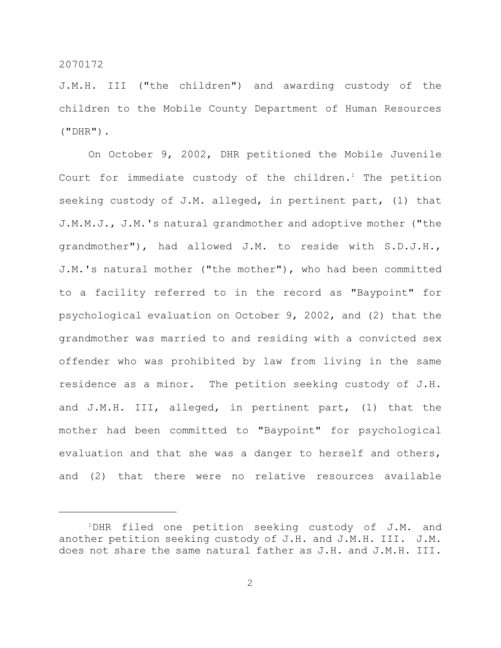J.M.H. III ("the children") and awarding custody of the children to the Mobile County Department of Human Resources  $(''DHR'')$ .

On October 9, 2002, DHR petitioned the Mobile Juvenile Court for immediate custody of the children.<sup>1</sup> The petition seeking custody of J.M. alleged, in pertinent part, (1) that J.M.M.J., J.M.'s natural grandmother and adoptive mother ("the grandmother"), had allowed J.M. to reside with S.D.J.H., J.M.'s natural mother ("the mother"), who had been committed to a facility referred to in the record as "Baypoint" for psychological evaluation on October 9, 2002, and (2) that the grandmother was married to and residing with a convicted sex offender who was prohibited by law from living in the same residence as a minor. The petition seeking custody of J.H. and J.M.H. III, alleged, in pertinent part, (1) that the mother had been committed to "Baypoint" for psychological evaluation and that she was a danger to herself and others, and (2) that there were no relative resources available

2

 $1$ DHR filed one petition seeking custody of J.M. and another petition seeking custody of J.H. and J.M.H. III. J.M. does not share the same natural father as J.H. and J.M.H. III.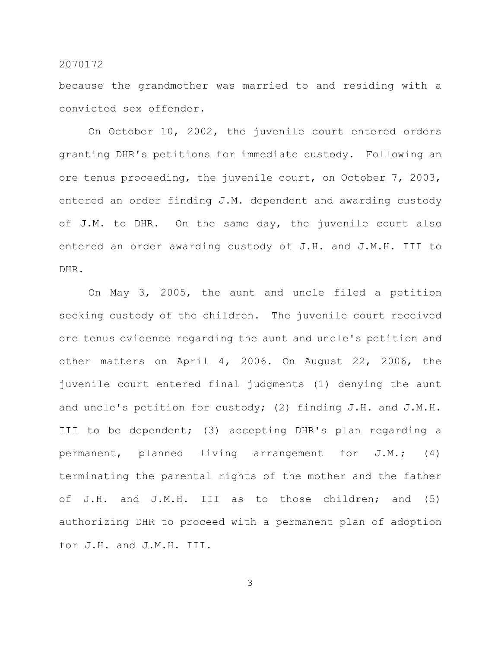because the grandmother was married to and residing with a convicted sex offender.

On October 10, 2002, the juvenile court entered orders granting DHR's petitions for immediate custody. Following an ore tenus proceeding, the juvenile court, on October 7, 2003, entered an order finding J.M. dependent and awarding custody of J.M. to DHR. On the same day, the juvenile court also entered an order awarding custody of J.H. and J.M.H. III to DHR.

On May 3, 2005, the aunt and uncle filed a petition seeking custody of the children. The juvenile court received ore tenus evidence regarding the aunt and uncle's petition and other matters on April 4, 2006. On August 22, 2006, the juvenile court entered final judgments (1) denying the aunt and uncle's petition for custody; (2) finding J.H. and J.M.H. III to be dependent; (3) accepting DHR's plan regarding a permanent, planned living arrangement for J.M.; (4) terminating the parental rights of the mother and the father of J.H. and J.M.H. III as to those children; and (5) authorizing DHR to proceed with a permanent plan of adoption for J.H. and J.M.H. III.

3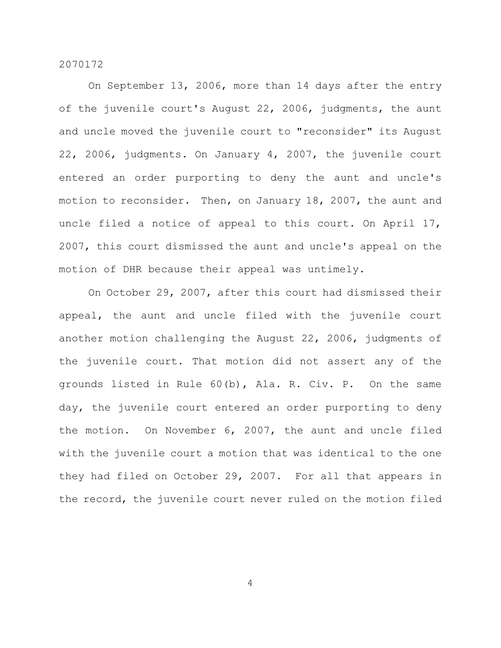On September 13, 2006, more than 14 days after the entry of the juvenile court's August 22, 2006, judgments, the aunt and uncle moved the juvenile court to "reconsider" its August 22, 2006, judgments. On January 4, 2007, the juvenile court entered an order purporting to deny the aunt and uncle's motion to reconsider. Then, on January 18, 2007, the aunt and uncle filed a notice of appeal to this court. On April 17, 2007, this court dismissed the aunt and uncle's appeal on the motion of DHR because their appeal was untimely.

On October 29, 2007, after this court had dismissed their appeal, the aunt and uncle filed with the juvenile court another motion challenging the August 22, 2006, judgments of the juvenile court. That motion did not assert any of the grounds listed in Rule 60(b), Ala. R. Civ. P. On the same day, the juvenile court entered an order purporting to deny the motion. On November 6, 2007, the aunt and uncle filed with the juvenile court a motion that was identical to the one they had filed on October 29, 2007. For all that appears in the record, the juvenile court never ruled on the motion filed

4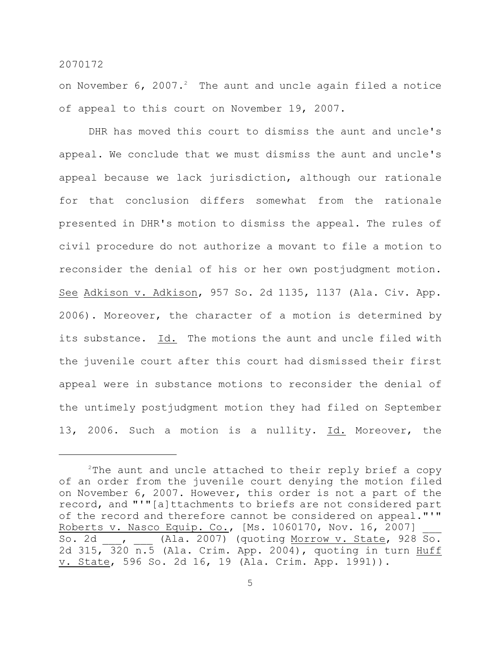on November  $6$ ,  $2007.^2$  The aunt and uncle again filed a notice of appeal to this court on November 19, 2007.

DHR has moved this court to dismiss the aunt and uncle's appeal. We conclude that we must dismiss the aunt and uncle's appeal because we lack jurisdiction, although our rationale for that conclusion differs somewhat from the rationale presented in DHR's motion to dismiss the appeal. The rules of civil procedure do not authorize a movant to file a motion to reconsider the denial of his or her own postjudgment motion. See Adkison v. Adkison, 957 So. 2d 1135, 1137 (Ala. Civ. App. 2006). Moreover, the character of a motion is determined by its substance. Id. The motions the aunt and uncle filed with the juvenile court after this court had dismissed their first appeal were in substance motions to reconsider the denial of the untimely postjudgment motion they had filed on September 13, 2006. Such a motion is a nullity. Id. Moreover, the

 $2$ The aunt and uncle attached to their reply brief a copy of an order from the juvenile court denying the motion filed on November 6, 2007. However, this order is not a part of the record, and "'"[a]ttachments to briefs are not considered part of the record and therefore cannot be considered on appeal."'" Roberts v. Nasco Equip. Co., [Ms. 1060170, Nov. 16, 2007] So. 2d  $\frac{1}{\sqrt{3}}$ ,  $\frac{1}{\sqrt{3}}$  (Ala. 2007) (quoting <u>Morrow v. State</u>, 928 So. 2d 315,  $320$   $\overline{n.5}$  (Ala. Crim. App. 2004), quoting in turn Huff v. State, 596 So. 2d 16, 19 (Ala. Crim. App. 1991)).